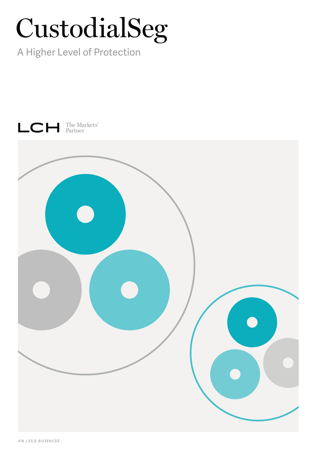# CustodialSeg

A Higher Level of Protection

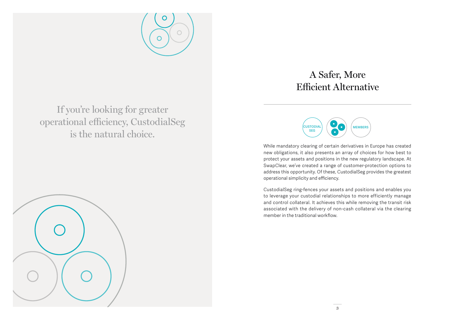

If you're looking for greater operational efficiency, CustodialSeg is the natural choice.

## A Safer, More Efficient Alternative



While mandatory clearing of certain derivatives in Europe has created new obligations, it also presents an array of choices for how best to protect your assets and positions in the new regulatory landscape. At SwapClear, we've created a range of customer-protection options to address this opportunity. Of these, CustodialSeg provides the greatest operational simplicity and efficiency.

CustodialSeg ring-fences your assets and positions and enables you to leverage your custodial relationships to more efficiently manage and control collateral. It achieves this while removing the transit risk associated with the delivery of non-cash collateral via the clearing member in the traditional workflow.

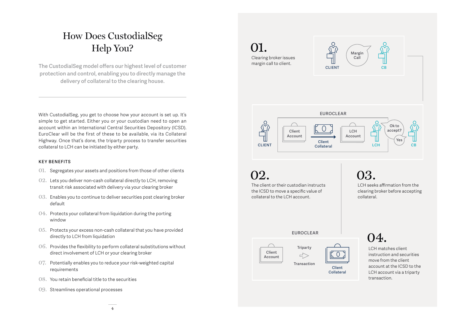## How Does CustodialSeg Help You?

**The CustodialSeg model offers our highest level of customer protection and control, enabling you to directly manage the delivery of collateral to the clearing house.** 

With CustodialSeg, you get to choose how your account is set up. It's simple to get started. Either you or your custodian need to open an account within an International Central Securities Depository (ICSD). EuroClear will be the first of these to be available, via its Collateral Highway. Once that's done, the triparty process to transfer securities collateral to LCH can be initiated by either party.

#### **KEY BENEFITS**

- 01. Segregates your assets and positions from those of other clients
- 02. Lets you deliver non-cash collateral directly to LCH, removing transit risk associated with delivery via your clearing broker
- 03. Enables you to continue to deliver securities post clearing broker default
- 04. Protects your collateral from liquidation during the porting window
- 05. Protects your excess non-cash collateral that you have provided directly to LCH from liquidation
- 06. Provides the flexibility to perform collateral substitutions without direct involvement of LCH or your clearing broker
- 07. Potentially enables you to reduce your risk-weighted capital requirements
- 08. You retain beneficial title to the securities
- 09. Streamlines operational processes

## 01.





**EUROCLEAR**  $\Omega$ **Ok to accept? LCH Client Account Account Yes Client**   $LCH$  **CB CLIENT Collateral**

**02.** 

The client or their custodian instructs the ICSD to move a specific value of collateral to the LCH account.

03.

LCH seeks affirmation from the clearing broker before accepting collateral.

**EUROCLEAR**



**Triparty**  $\Rightarrow$ 

> **Client Collateral**

 $\circ$ 

 $\Omega$ 

LCH matches client instruction and securities move from the client account at the ICSD to the LCH account via a triparty transaction.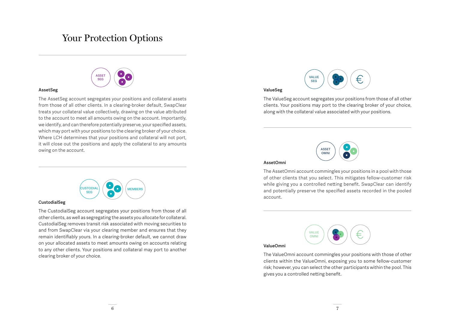## Your Protection Options

### **ASSET SEG**

#### **AssetSeg**

The AssetSeg account segregates your positions and collateral assets from those of all other clients. In a clearing-broker default, SwapClear treats your collateral value collectively, drawing on the value attributed to the account to meet all amounts owing on the account. Importantly, we identify, and can therefore potentially preserve, your specified assets, which may port with your positions to the clearing broker of your choice. Where LCH determines that your positions and collateral will not port, it will close out the positions and apply the collateral to any amounts owing on the account. **ASSET**



#### **CustodialSeg**

The CustodialSeg account segregates your positions from those of all other clients, as well as segregating the assets you allocate for collateral. CustodialSeg removes transit risk associated with moving securities to and from SwapClear via your clearing member and ensures that they remain identifiably yours. In a clearing-broker default, we cannot draw on your allocated assets to meet amounts owing on accounts relating to any other clients. Your positions and collateral may port to another clearing broker of your choice.



**ValueSeg**

The ValueSeg account segregates your positions from those of all other clients. Your positions may port to the clearing broker of your choice, along with the collateral value associated with your positions.



#### **AssetOmni**

The AssetOmni account commingles your positions in a pool with those of other clients that you select. This mitigates fellow-customer risk while giving you a controlled netting benefit. SwapClear can identify and potentially preserve the specified assets recorded in the pooled account.

#### **ValueOmni**



clients within the ValueOmni, exposing you to some fellow-customer risk; however, you can select the other participants within the pool. This gives you a controlled netting benefit.

**VALUE OMNI**